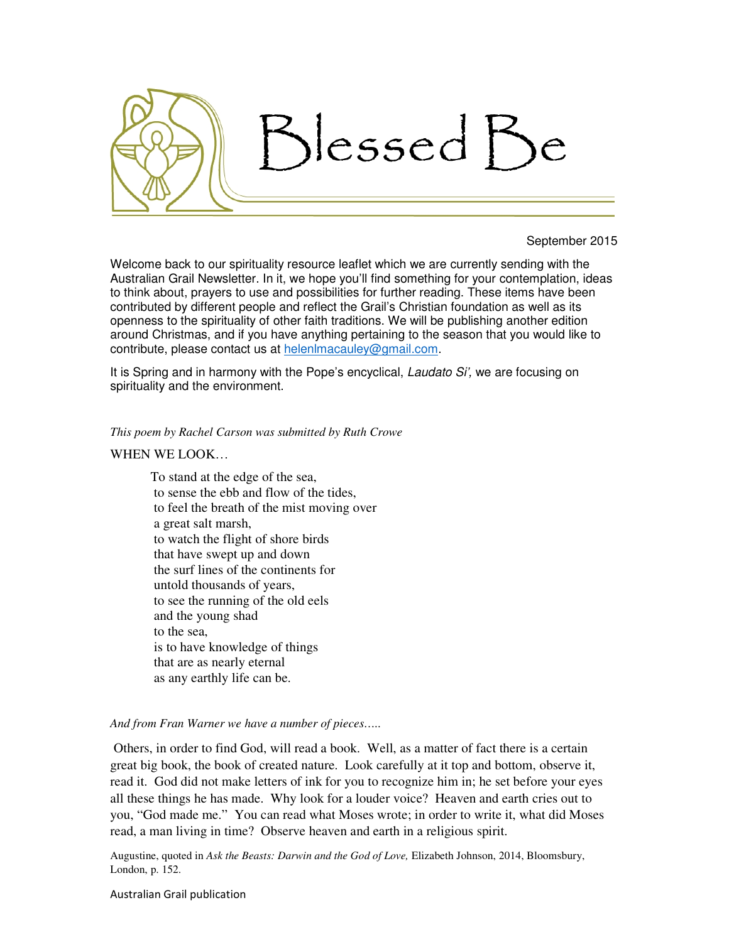

#### September 2015

Welcome back to our spirituality resource leaflet which we are currently sending with the Australian Grail Newsletter. In it, we hope you'll find something for your contemplation, ideas to think about, prayers to use and possibilities for further reading. These items have been contributed by different people and reflect the Grail's Christian foundation as well as its openness to the spirituality of other faith traditions. We will be publishing another edition around Christmas, and if you have anything pertaining to the season that you would like to contribute, please contact us at helenlmacauley@gmail.com.

It is Spring and in harmony with the Pope's encyclical, Laudato Si', we are focusing on spirituality and the environment.

### *This poem by Rachel Carson was submitted by Ruth Crowe*

# WHEN WE LOOK…

To stand at the edge of the sea, to sense the ebb and flow of the tides, to feel the breath of the mist moving over a great salt marsh, to watch the flight of shore birds that have swept up and down the surf lines of the continents for untold thousands of years, to see the running of the old eels and the young shad to the sea, is to have knowledge of things that are as nearly eternal as any earthly life can be.

### *And from Fran Warner we have a number of pieces…..*

 Others, in order to find God, will read a book. Well, as a matter of fact there is a certain great big book, the book of created nature. Look carefully at it top and bottom, observe it, read it. God did not make letters of ink for you to recognize him in; he set before your eyes all these things he has made. Why look for a louder voice? Heaven and earth cries out to you, "God made me." You can read what Moses wrote; in order to write it, what did Moses read, a man living in time? Observe heaven and earth in a religious spirit.

Augustine, quoted in *Ask the Beasts: Darwin and the God of Love,* Elizabeth Johnson, 2014, Bloomsbury, London, p. 152.

Australian Grail publication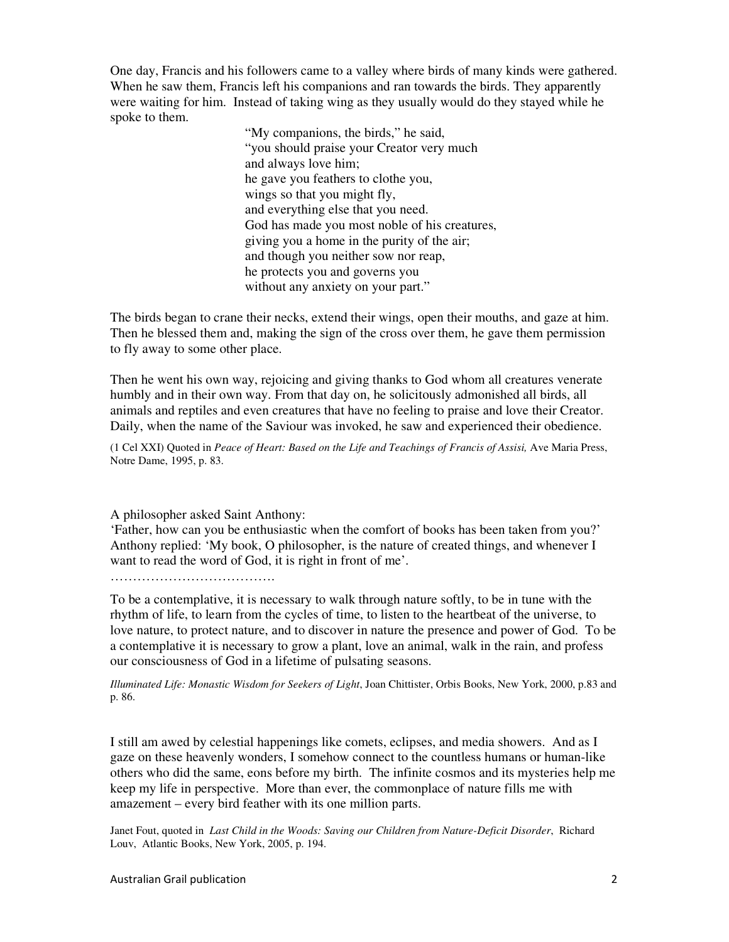One day, Francis and his followers came to a valley where birds of many kinds were gathered. When he saw them, Francis left his companions and ran towards the birds. They apparently were waiting for him. Instead of taking wing as they usually would do they stayed while he spoke to them.

> "My companions, the birds," he said, "you should praise your Creator very much and always love him; he gave you feathers to clothe you, wings so that you might fly, and everything else that you need. God has made you most noble of his creatures, giving you a home in the purity of the air; and though you neither sow nor reap, he protects you and governs you without any anxiety on your part."

The birds began to crane their necks, extend their wings, open their mouths, and gaze at him. Then he blessed them and, making the sign of the cross over them, he gave them permission to fly away to some other place.

Then he went his own way, rejoicing and giving thanks to God whom all creatures venerate humbly and in their own way. From that day on, he solicitously admonished all birds, all animals and reptiles and even creatures that have no feeling to praise and love their Creator. Daily, when the name of the Saviour was invoked, he saw and experienced their obedience.

(1 Cel XXI) Quoted in *Peace of Heart: Based on the Life and Teachings of Francis of Assisi,* Ave Maria Press, Notre Dame, 1995, p. 83.

A philosopher asked Saint Anthony:

'Father, how can you be enthusiastic when the comfort of books has been taken from you?' Anthony replied: 'My book, O philosopher, is the nature of created things, and whenever I want to read the word of God, it is right in front of me'.

………………………………………

To be a contemplative, it is necessary to walk through nature softly, to be in tune with the rhythm of life, to learn from the cycles of time, to listen to the heartbeat of the universe, to love nature, to protect nature, and to discover in nature the presence and power of God. To be a contemplative it is necessary to grow a plant, love an animal, walk in the rain, and profess our consciousness of God in a lifetime of pulsating seasons.

*Illuminated Life: Monastic Wisdom for Seekers of Light*, Joan Chittister, Orbis Books, New York, 2000, p.83 and p. 86.

I still am awed by celestial happenings like comets, eclipses, and media showers. And as I gaze on these heavenly wonders, I somehow connect to the countless humans or human-like others who did the same, eons before my birth. The infinite cosmos and its mysteries help me keep my life in perspective. More than ever, the commonplace of nature fills me with amazement – every bird feather with its one million parts.

Janet Fout, quoted in *Last Child in the Woods: Saving our Children from Nature-Deficit Disorder*, Richard Louv, Atlantic Books, New York, 2005, p. 194.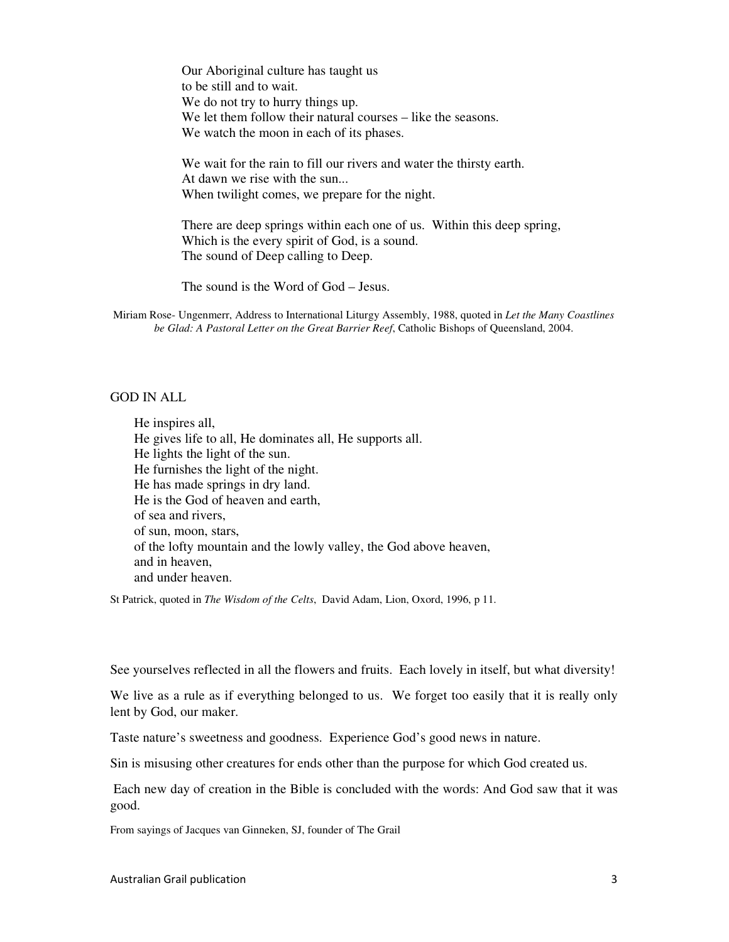Our Aboriginal culture has taught us to be still and to wait. We do not try to hurry things up. We let them follow their natural courses – like the seasons. We watch the moon in each of its phases.

We wait for the rain to fill our rivers and water the thirsty earth. At dawn we rise with the sun... When twilight comes, we prepare for the night.

There are deep springs within each one of us. Within this deep spring, Which is the every spirit of God, is a sound. The sound of Deep calling to Deep.

The sound is the Word of God – Jesus.

Miriam Rose- Ungenmerr, Address to International Liturgy Assembly, 1988, quoted in *Let the Many Coastlines be Glad: A Pastoral Letter on the Great Barrier Reef*, Catholic Bishops of Queensland, 2004.

# GOD IN ALL

He inspires all, He gives life to all, He dominates all, He supports all. He lights the light of the sun. He furnishes the light of the night. He has made springs in dry land. He is the God of heaven and earth, of sea and rivers, of sun, moon, stars, of the lofty mountain and the lowly valley, the God above heaven, and in heaven, and under heaven.

St Patrick, quoted in *The Wisdom of the Celts*, David Adam, Lion, Oxord, 1996, p 11.

See yourselves reflected in all the flowers and fruits. Each lovely in itself, but what diversity!

We live as a rule as if everything belonged to us. We forget too easily that it is really only lent by God, our maker.

Taste nature's sweetness and goodness. Experience God's good news in nature.

Sin is misusing other creatures for ends other than the purpose for which God created us.

 Each new day of creation in the Bible is concluded with the words: And God saw that it was good.

From sayings of Jacques van Ginneken, SJ, founder of The Grail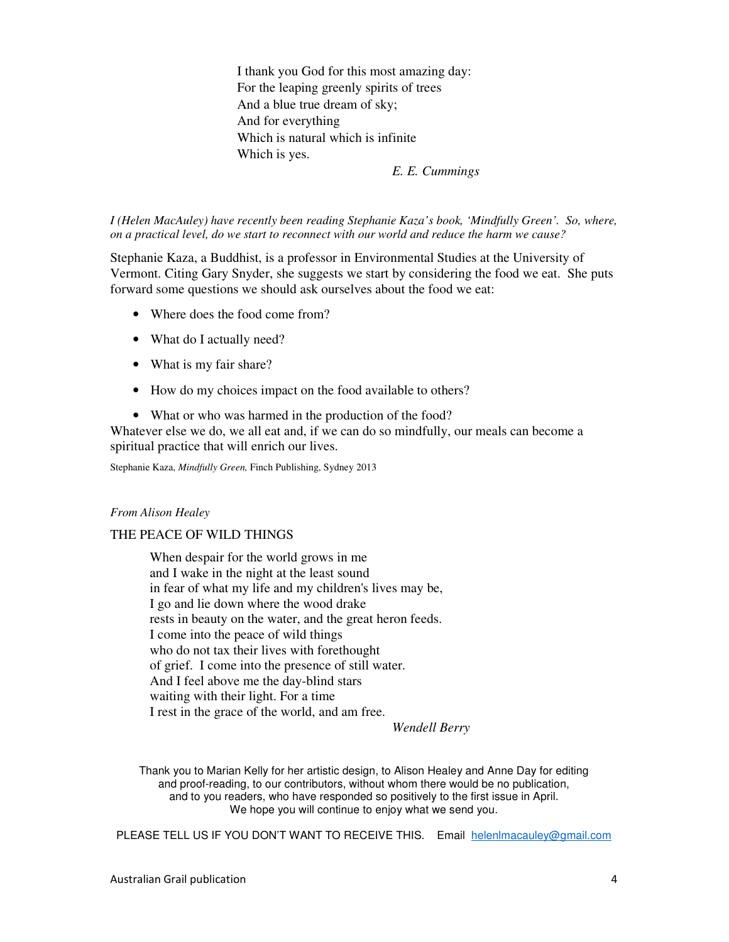I thank you God for this most amazing day: For the leaping greenly spirits of trees And a blue true dream of sky; And for everything Which is natural which is infinite Which is yes.

*E. E. Cummings* 

*I (Helen MacAuley) have recently been reading Stephanie Kaza's book, 'Mindfully Green'. So, where, on a practical level, do we start to reconnect with our world and reduce the harm we cause?* 

Stephanie Kaza, a Buddhist, is a professor in Environmental Studies at the University of Vermont. Citing Gary Snyder, she suggests we start by considering the food we eat. She puts forward some questions we should ask ourselves about the food we eat:

- Where does the food come from?
- What do I actually need?
- What is my fair share?
- How do my choices impact on the food available to others?
- What or who was harmed in the production of the food?

Whatever else we do, we all eat and, if we can do so mindfully, our meals can become a spiritual practice that will enrich our lives.

Stephanie Kaza, *Mindfully Green,* Finch Publishing, Sydney 2013

### *From Alison Healey*

#### THE PEACE OF WILD THINGS

When despair for the world grows in me and I wake in the night at the least sound in fear of what my life and my children's lives may be, I go and lie down where the wood drake rests in beauty on the water, and the great heron feeds. I come into the peace of wild things who do not tax their lives with forethought of grief. I come into the presence of still water. And I feel above me the day-blind stars waiting with their light. For a time I rest in the grace of the world, and am free.

*Wendell Berry* 

Thank you to Marian Kelly for her artistic design, to Alison Healey and Anne Day for editing and proof-reading, to our contributors, without whom there would be no publication, and to you readers, who have responded so positively to the first issue in April. We hope you will continue to enjoy what we send you.

PLEASE TELL US IF YOU DON'T WANT TO RECEIVE THIS. Email helenlmacauley@gmail.com